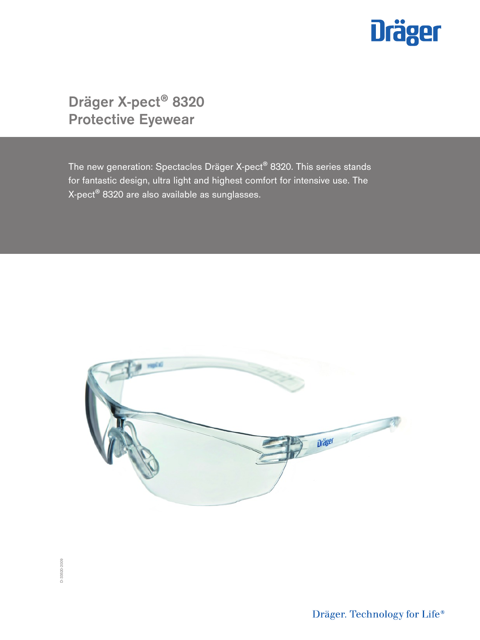

Dräger X-pect® 8320 Protective Eyewear

The new generation: Spectacles Dräger X-pect® 8320. This series stands for fantastic design, ultra light and highest comfort for intensive use. The X-pect® 8320 are also available as sunglasses.



Dräger. Technology for Life®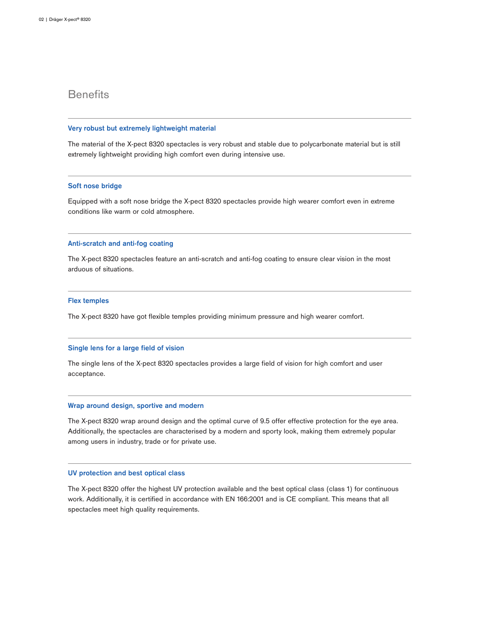### **Benefits**

### Very robust but extremely lightweight material

The material of the X-pect 8320 spectacles is very robust and stable due to polycarbonate material but is still extremely lightweight providing high comfort even during intensive use.

### Soft nose bridge

Equipped with a soft nose bridge the X-pect 8320 spectacles provide high wearer comfort even in extreme conditions like warm or cold atmosphere.

### Anti-scratch and anti-fog coating

The X-pect 8320 spectacles feature an anti-scratch and anti-fog coating to ensure clear vision in the most arduous of situations.

### Flex temples

The X-pect 8320 have got flexible temples providing minimum pressure and high wearer comfort.

### Single lens for a large field of vision

The single lens of the X-pect 8320 spectacles provides a large field of vision for high comfort and user acceptance.

### Wrap around design, sportive and modern

The X-pect 8320 wrap around design and the optimal curve of 9.5 offer effective protection for the eye area. Additionally, the spectacles are characterised by a modern and sporty look, making them extremely popular among users in industry, trade or for private use.

### UV protection and best optical class

The X-pect 8320 offer the highest UV protection available and the best optical class (class 1) for continuous work. Additionally, it is certified in accordance with EN 166:2001 and is CE compliant. This means that all spectacles meet high quality requirements.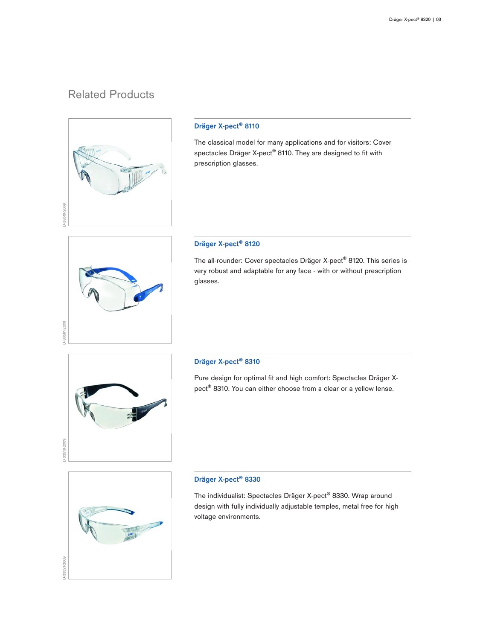# Related Products



### Dräger X-pect® 8110

The classical model for many applications and for visitors: Cover spectacles Dräger X-pect<sup>®</sup> 8110. They are designed to fit with prescription glasses.

## Dräger X-pect® 8120

The all-rounder: Cover spectacles Dräger X-pect® 8120. This series is very robust and adaptable for any face - with or without prescription glasses.



D-33561-2009

### Dräger X-pect® 8310

Pure design for optimal fit and high comfort: Spectacles Dräger Xpect® 8310. You can either choose from a clear or a yellow lense.



### Dräger X-pect® 8330

The individualist: Spectacles Dräger X-pect® 8330. Wrap around design with fully individually adjustable temples, metal free for high voltage environments.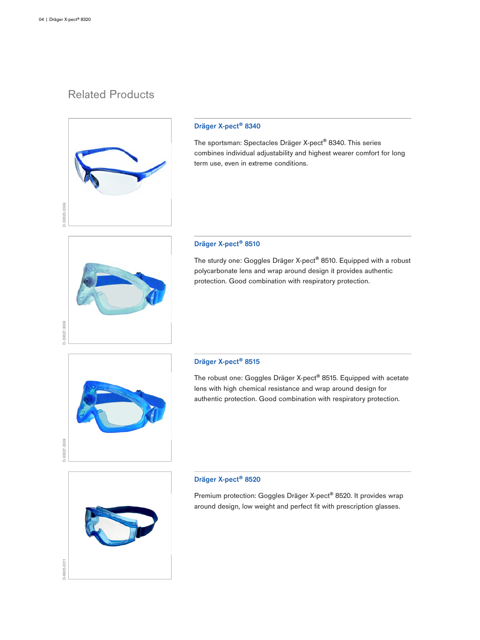# Related Products



### Dräger X-pect® 8340

The sportsman: Spectacles Dräger X-pect® 8340. This series combines individual adjustability and highest wearer comfort for long term use, even in extreme conditions.

# D-33527-2009

### Dräger X-pect® 8510

The sturdy one: Goggles Dräger X-pect® 8510. Equipped with a robust polycarbonate lens and wrap around design it provides authentic protection. Good combination with respiratory protection.



### Dräger X-pect® 8515

The robust one: Goggles Dräger X-pect® 8515. Equipped with acetate lens with high chemical resistance and wrap around design for authentic protection. Good combination with respiratory protection.



### Dräger X-pect® 8520

Premium protection: Goggles Dräger X-pect® 8520. It provides wrap around design, low weight and perfect fit with prescription glasses.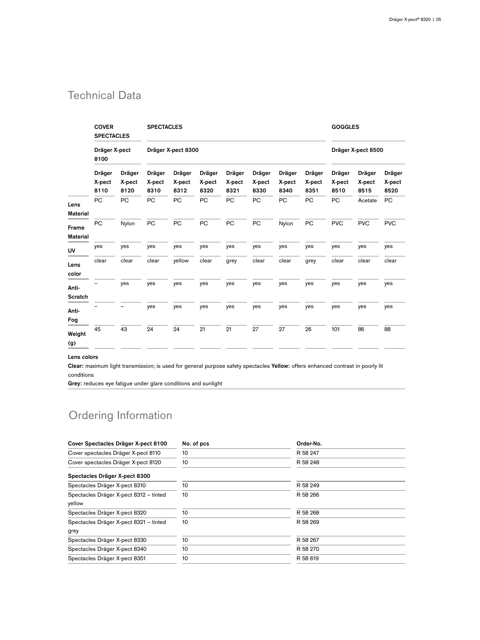# Technical Data

|                          | <b>COVER</b><br><b>SPECTACLES</b><br>Dräger X-pect<br>8100 |                          | <b>SPECTACLES</b>        |                          |                          |                          |                          |                          |                          | <b>GOGGLES</b>           |                          |                          |
|--------------------------|------------------------------------------------------------|--------------------------|--------------------------|--------------------------|--------------------------|--------------------------|--------------------------|--------------------------|--------------------------|--------------------------|--------------------------|--------------------------|
|                          |                                                            |                          | Dräger X-pect 8300       |                          |                          |                          |                          |                          |                          |                          | Dräger X-pect 8500       |                          |
|                          | Dräger<br>X-pect<br>8110                                   | Dräger<br>X-pect<br>8120 | Dräger<br>X-pect<br>8310 | Dräger<br>X-pect<br>8312 | Dräger<br>X-pect<br>8320 | Dräger<br>X-pect<br>8321 | Dräger<br>X-pect<br>8330 | Dräger<br>X-pect<br>8340 | Dräger<br>X-pect<br>8351 | Dräger<br>X-pect<br>8510 | Dräger<br>X-pect<br>8515 | Dräger<br>X-pect<br>8520 |
| Lens                     | PC                                                         | PC                       | PC                       | PC                       | PC                       | PC                       | PC                       | PC                       | PC                       | PC                       | Acetate                  | PC                       |
| <b>Material</b>          |                                                            |                          |                          |                          |                          |                          |                          |                          |                          |                          |                          |                          |
| Frame<br><b>Material</b> | <b>PC</b>                                                  | Nylon                    | PC                       | PC                       | PC                       | PC                       | PC                       | Nylon                    | PC                       | <b>PVC</b>               | <b>PVC</b>               | <b>PVC</b>               |
| <b>UV</b>                | yes                                                        | yes                      | yes                      | yes                      | yes                      | yes                      | yes                      | yes                      | yes                      | yes                      | yes                      | yes                      |
| Lens<br>color            | clear                                                      | clear                    | clear                    | yellow                   | clear                    | grey                     | clear                    | clear                    | grey                     | clear                    | clear                    | clear                    |
| Anti-<br>Scratch         |                                                            | yes                      | yes                      | yes                      | yes                      | yes                      | yes                      | yes                      | yes                      | yes                      | yes                      | yes                      |
| Anti-<br>Fog             |                                                            |                          | yes                      | yes                      | yes                      | yes                      | yes                      | yes                      | yes                      | yes                      | yes                      | yes                      |
| Weight<br>(g)            | 45                                                         | 43                       | 24                       | 24                       | 21                       | 21                       | 27                       | 27                       | 26                       | 101                      | 86                       | 88                       |

Lens colors

Clear: maximum light transmission; is used for general purpose safety spectacles Yellow: offers enhanced contrast in poorly lit conditions

Grey: reduces eye fatigue under glare conditions and sunlight

# Ordering Information

| Cover Spectacles Dräger X-pect 8100    | No. of pcs | Order-No. |  |  |  |
|----------------------------------------|------------|-----------|--|--|--|
| Cover spectacles Dräger X-pect 8110    | 10         | R 58 247  |  |  |  |
| Cover spectacles Dräger X-pect 8120    | 10         | R 58 248  |  |  |  |
| Spectacles Dräger X-pect 8300          |            |           |  |  |  |
| Spectacles Dräger X-pect 8310          | 10         | R 58 249  |  |  |  |
| Spectacles Dräger X-pect 8312 - tinted | 10         | R 58 266  |  |  |  |
| yellow                                 |            |           |  |  |  |
| Spectacles Dräger X-pect 8320          | 10         | R 58 268  |  |  |  |
| Spectacles Dräger X-pect 8321 - tinted | 10         | R 58 269  |  |  |  |
| grey                                   |            |           |  |  |  |
| Spectacles Dräger X-pect 8330          | 10         | R 58 267  |  |  |  |
| Spectacles Dräger X-pect 8340          | 10         | R 58 270  |  |  |  |
| Spectacles Dräger X-pect 8351          | 10         | R 58 619  |  |  |  |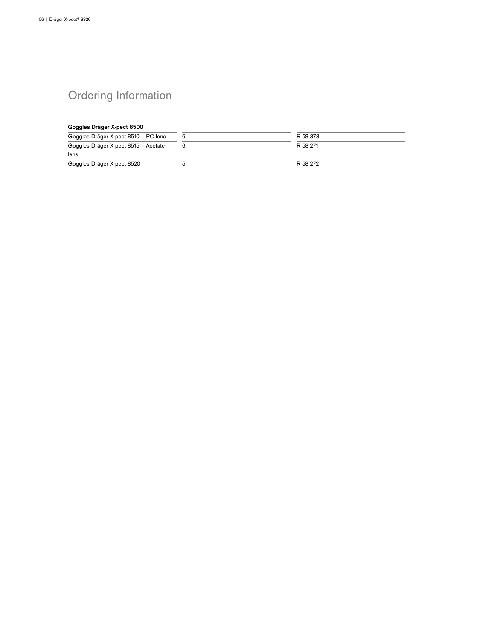# Ordering Information

### Goggles Dräger X-pect 8500

| Goggles Dräger X-pect 8510 – PC lens | R 58 373 |
|--------------------------------------|----------|
| Goggles Dräger X-pect 8515 - Acetate | R 58 271 |
| lens                                 |          |
| Goggles Dräger X-pect 8520           | R 58 272 |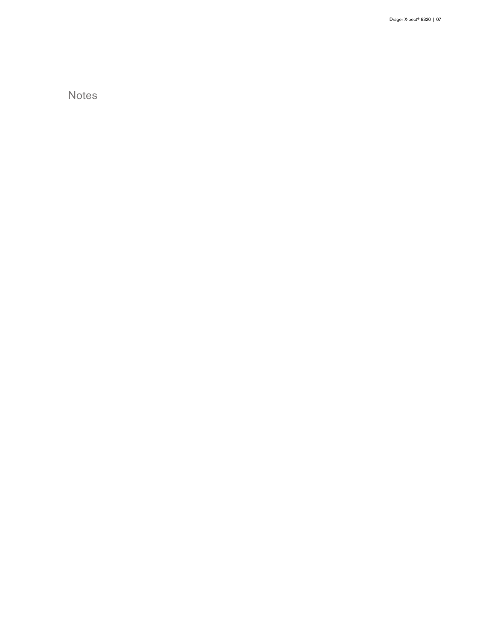**Notes**